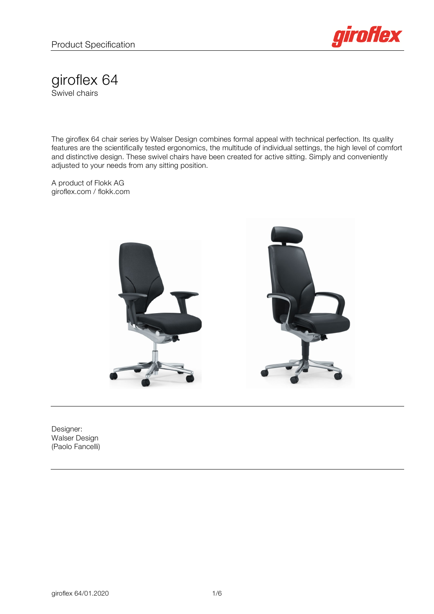

giroflex 64 Swivel chairs

The giroflex 64 chair series by Walser Design combines formal appeal with technical perfection. Its quality features are the scientifically tested ergonomics, the multitude of individual settings, the high level of comfort and distinctive design. These swivel chairs have been created for active sitting. Simply and conveniently adjusted to your needs from any sitting position.

A product of Flokk AG giroflex.com / flokk.com



Designer: Walser Design (Paolo Fancelli)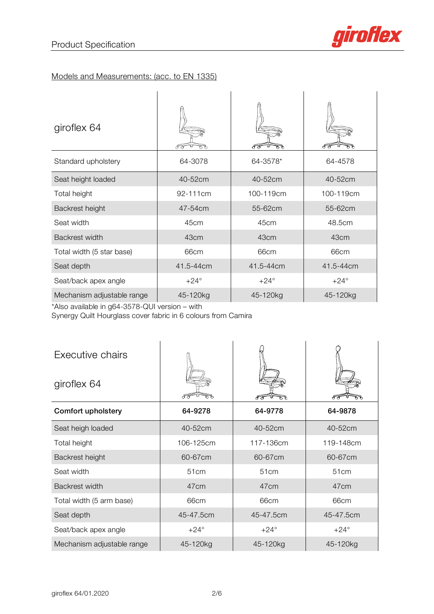

## Models and Measurements: (acc. to EN 1335)

| giroflex 64                |               |               |               |
|----------------------------|---------------|---------------|---------------|
| Standard upholstery        | 64-3078       | 64-3578*      | 64-4578       |
| Seat height loaded         | 40-52cm       | 40-52cm       | 40-52cm       |
| Total height               | 92-111cm      | 100-119cm     | 100-119cm     |
| Backrest height            | 47-54cm       | 55-62cm       | 55-62cm       |
| Seat width                 | 45cm          | 45cm          | 48.5cm        |
| Backrest width             | 43cm          | 43cm          | 43cm          |
| Total width (5 star base)  | 66cm          | 66cm          | 66cm          |
| Seat depth                 | 41.5-44cm     | 41.5-44cm     | 41.5-44cm     |
| Seat/back apex angle       | $+24^{\circ}$ | $+24^{\circ}$ | $+24^{\circ}$ |
| Mechanism adjustable range | 45-120kg      | 45-120kg      | 45-120kg      |

\*Also available in g64-3578-QUI version – with

Synergy Quilt Hourglass cover fabric in 6 colours from Camira

| Executive chairs<br>giroflex 64 |                  | ჩზ            |                  |
|---------------------------------|------------------|---------------|------------------|
| <b>Comfort upholstery</b>       | 64-9278          | 64-9778       | 64-9878          |
| Seat heigh loaded               | 40-52cm          | 40-52cm       | 40-52cm          |
| Total height                    | 106-125cm        | 117-136cm     | 119-148cm        |
| Backrest height                 | 60-67cm          | 60-67cm       | 60-67cm          |
| Seat width                      | 51 <sub>cm</sub> | 51cm          | 51 <sub>cm</sub> |
| <b>Backrest width</b>           | 47 <sub>cm</sub> | 47cm          | 47cm             |
| Total width (5 arm base)        | 66cm             | 66cm          | 66cm             |
| Seat depth                      | 45-47.5cm        | 45-47.5cm     | 45-47.5cm        |
| Seat/back apex angle            | $+24^{\circ}$    | $+24^{\circ}$ | $+24^{\circ}$    |
| Mechanism adjustable range      | 45-120kg         | 45-120kg      | 45-120kg         |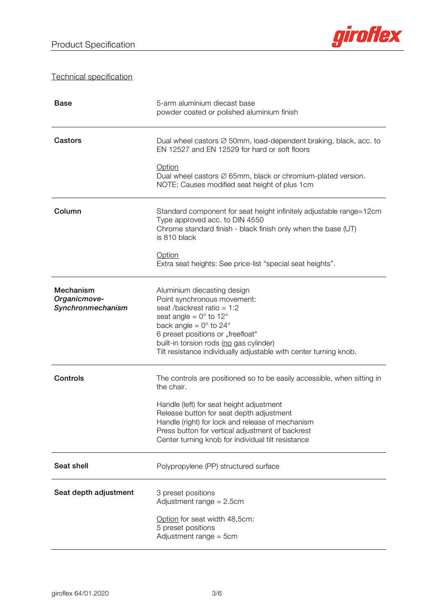

Technical specification

| <b>Base</b>                                    | 5-arm aluminium diecast base<br>powder coated or polished aluminium finish                                                                                                                                                                                                                                                                  |  |
|------------------------------------------------|---------------------------------------------------------------------------------------------------------------------------------------------------------------------------------------------------------------------------------------------------------------------------------------------------------------------------------------------|--|
| Castors                                        | Dual wheel castors $\varnothing$ 50mm, load-dependent braking, black, acc. to<br>EN 12527 and EN 12529 for hard or soft floors<br><b>Option</b><br>Dual wheel castors $\varnothing$ 65mm, black or chromium-plated version.<br>NOTE: Causes modified seat height of plus 1cm                                                                |  |
| Column                                         | Standard component for seat height infinitely adjustable range=12cm<br>Type approved acc. to DIN 4550<br>Chrome standard finish - black finish only when the base (UT)<br>is 810 black<br>Option<br>Extra seat heights: See price-list "special seat heights".                                                                              |  |
| Mechanism<br>Organicmove-<br>Synchronmechanism | Aluminium diecasting design<br>Point synchronous movement:<br>seat /backrest ratio = $1:2$<br>seat angle = $0^\circ$ to 12 $^\circ$<br>back angle = $0^\circ$ to 24 $^\circ$<br>6 preset positions or "freefloat"<br>built-in torsion rods (no gas cylinder)<br>Tilt resistance individually adjustable with center turning knob.           |  |
| Controls                                       | The controls are positioned so to be easily accessible, when sitting in<br>the chair.<br>Handle (left) for seat height adjustment<br>Release button for seat depth adjustment<br>Handle (right) for lock and release of mechanism<br>Press button for vertical adjustment of backrest<br>Center turning knob for individual tilt resistance |  |
| Seat shell                                     | Polypropylene (PP) structured surface                                                                                                                                                                                                                                                                                                       |  |
| Seat depth adjustment                          | 3 preset positions<br>Adjustment range $= 2.5$ cm<br>Option for seat width 48,5cm:<br>5 preset positions<br>Adjustment range = 5cm                                                                                                                                                                                                          |  |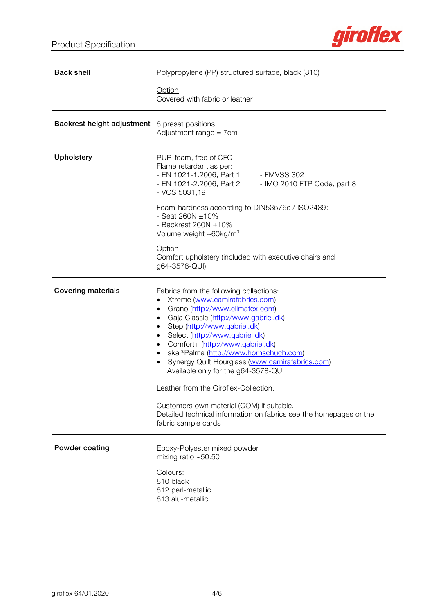

| <b>Back shell</b>                                    | Polypropylene (PP) structured surface, black (810)                                                                                                                                                                                                                                                                                                                                                                                                                                                                                                                                                                               |  |  |
|------------------------------------------------------|----------------------------------------------------------------------------------------------------------------------------------------------------------------------------------------------------------------------------------------------------------------------------------------------------------------------------------------------------------------------------------------------------------------------------------------------------------------------------------------------------------------------------------------------------------------------------------------------------------------------------------|--|--|
|                                                      | Option<br>Covered with fabric or leather                                                                                                                                                                                                                                                                                                                                                                                                                                                                                                                                                                                         |  |  |
| <b>Backrest height adjustment</b> 8 preset positions | Adjustment range = 7cm                                                                                                                                                                                                                                                                                                                                                                                                                                                                                                                                                                                                           |  |  |
| <b>Upholstery</b>                                    | PUR-foam, free of CFC<br>Flame retardant as per:<br>- EN 1021-1:2006, Part 1 - FMVSS 302<br>- EN 1021-2:2006, Part 2<br>- IMO 2010 FTP Code, part 8<br>- VCS 5031,19                                                                                                                                                                                                                                                                                                                                                                                                                                                             |  |  |
|                                                      | Foam-hardness according to DIN53576c / ISO2439:<br>- Seat 260N $\pm$ 10%<br>- Backrest 260N $\pm$ 10%<br>Volume weight ~60kg/m <sup>3</sup>                                                                                                                                                                                                                                                                                                                                                                                                                                                                                      |  |  |
|                                                      | Option<br>Comfort upholstery (included with executive chairs and<br>g64-3578-QUI)                                                                                                                                                                                                                                                                                                                                                                                                                                                                                                                                                |  |  |
| <b>Covering materials</b>                            | Fabrics from the following collections:<br>Xtreme (www.camirafabrics.com)<br>Grano (http://www.climatex.com)<br>٠<br>Gaja Classic (http://www.gabriel.dk).<br>٠<br>Step (http://www.gabriel.dk)<br>٠<br>Select (http://www.gabriel.dk)<br>٠<br>Comfort+ (http://www.gabriel.dk)<br>$\bullet$<br>skai®Palma (http://www.hornschuch.com)<br>$\bullet$<br>Synergy Quilt Hourglass (www.camirafabrics.com)<br>Available only for the g64-3578-QUI<br>Leather from the Giroflex-Collection.<br>Customers own material (COM) if suitable.<br>Detailed technical information on fabrics see the homepages or the<br>fabric sample cards |  |  |
| Powder coating                                       | Epoxy-Polyester mixed powder<br>mixing ratio $~50:50$                                                                                                                                                                                                                                                                                                                                                                                                                                                                                                                                                                            |  |  |
|                                                      | Colours:<br>810 black<br>812 perl-metallic<br>813 alu-metallic                                                                                                                                                                                                                                                                                                                                                                                                                                                                                                                                                                   |  |  |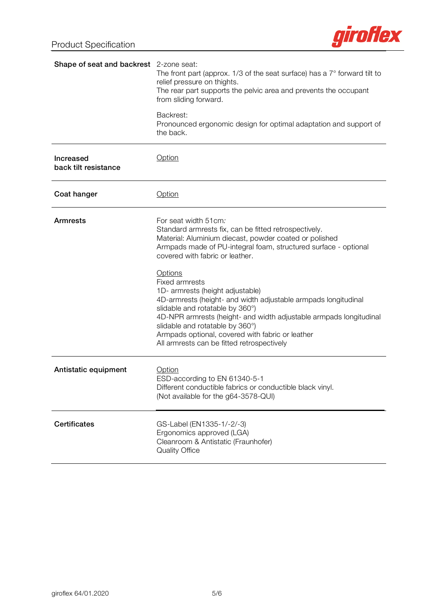

| Shape of seat and backrest 2-zone seat:  | The front part (approx. $1/3$ of the seat surface) has a $7^{\circ}$ forward tilt to<br>relief pressure on thights.<br>The rear part supports the pelvic area and prevents the occupant<br>from sliding forward.                                                                                                                                                                                                                                                                                                                                                                                                                      |  |
|------------------------------------------|---------------------------------------------------------------------------------------------------------------------------------------------------------------------------------------------------------------------------------------------------------------------------------------------------------------------------------------------------------------------------------------------------------------------------------------------------------------------------------------------------------------------------------------------------------------------------------------------------------------------------------------|--|
|                                          | Backrest:<br>Pronounced ergonomic design for optimal adaptation and support of<br>the back.                                                                                                                                                                                                                                                                                                                                                                                                                                                                                                                                           |  |
| <b>Increased</b><br>back tilt resistance | <b>Option</b>                                                                                                                                                                                                                                                                                                                                                                                                                                                                                                                                                                                                                         |  |
| Coat hanger                              | Option                                                                                                                                                                                                                                                                                                                                                                                                                                                                                                                                                                                                                                |  |
| <b>Armrests</b>                          | For seat width 51cm.<br>Standard armrests fix, can be fitted retrospectively.<br>Material: Aluminium diecast, powder coated or polished<br>Armpads made of PU-integral foam, structured surface - optional<br>covered with fabric or leather.<br>Options<br><b>Fixed armrests</b><br>1D- armrests (height adjustable)<br>4D-armrests (height- and width adjustable armpads longitudinal<br>slidable and rotatable by 360°)<br>4D-NPR armrests (height- and width adjustable armpads longitudinal<br>slidable and rotatable by 360°)<br>Armpads optional, covered with fabric or leather<br>All armrests can be fitted retrospectively |  |
| Antistatic equipment                     | Option<br>ESD-according to EN 61340-5-1<br>Different conductible fabrics or conductible black vinyl.<br>(Not available for the g64-3578-QUI)                                                                                                                                                                                                                                                                                                                                                                                                                                                                                          |  |
| <b>Certificates</b>                      | GS-Label (EN1335-1/-2/-3)<br>Ergonomics approved (LGA)<br>Cleanroom & Antistatic (Fraunhofer)<br><b>Quality Office</b>                                                                                                                                                                                                                                                                                                                                                                                                                                                                                                                |  |